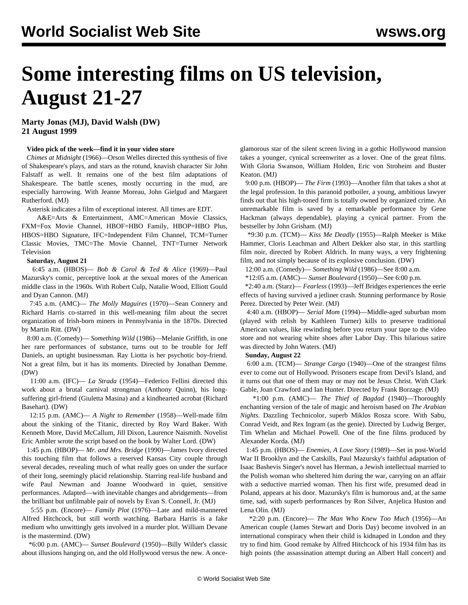# **Some interesting films on US television, August 21-27**

**Marty Jonas (MJ), David Walsh (DW) 21 August 1999**

## **Video pick of the week—find it in your video store**

 *Chimes at Midnight* (1966)—Orson Welles directed this synthesis of five of Shakespeare's plays, and stars as the rotund, knavish character Sir John Falstaff as well. It remains one of the best film adaptations of Shakespeare. The battle scenes, mostly occurring in the mud, are especially harrowing. With Jeanne Moreau, John Gielgud and Margaret Rutherford. (MJ)

Asterisk indicates a film of exceptional interest. All times are EDT.

 A&E=Arts & Entertainment, AMC=American Movie Classics, FXM=Fox Movie Channel, HBOF=HBO Family, HBOP=HBO Plus, HBOS=HBO Signature, IFC=Independent Film Channel, TCM=Turner Classic Movies, TMC=The Movie Channel, TNT=Turner Network Television

## **Saturday, August 21**

 6:45 a.m. (HBOS)— *Bob & Carol & Ted & Alice* (1969)—Paul Mazursky's comic, perceptive look at the sexual mores of the American middle class in the 1960s. With Robert Culp, Natalie Wood, Elliott Gould and Dyan Cannon. (MJ)

 7:45 a.m. (AMC)— *The Molly Maguires* (1970)—Sean Connery and Richard Harris co-starred in this well-meaning film about the secret organization of Irish-born miners in Pennsylvania in the 1870s. Directed by Martin Ritt. (DW)

 8:00 a.m. (Comedy)— *Something Wild* (1986)—Melanie Griffith, in one her rare performances of substance, turns out to be trouble for Jeff Daniels, an uptight businessman. Ray Liotta is her psychotic boy-friend. Not a great film, but it has its moments. Directed by Jonathan Demme. (DW)

 11:00 a.m. (IFC)— *La Strada* (1954)—Federico Fellini directed this work about a brutal carnival strongman (Anthony Quinn), his longsuffering girl-friend (Giuletta Masina) and a kindhearted acrobat (Richard Basehart). (DW)

 12:15 p.m. (AMC)— *A Night to Remember* (1958)—Well-made film about the sinking of the Titanic, directed by Roy Ward Baker. With Kenneth More, David McCallum, Jill Dixon, Laurence Naismith. Novelist Eric Ambler wrote the script based on the book by Walter Lord. (DW)

 1:45 p.m. (HBOP)— *Mr. and Mrs. Bridge* (1990)—James Ivory directed this touching film that follows a reserved Kansas City couple through several decades, revealing much of what really goes on under the surface of their long, seemingly placid relationship. Starring real-life husband and wife Paul Newman and Joanne Woodward in quiet, sensitive performances. Adapted—with inevitable changes and abridgements—from the brilliant but unfilmable pair of novels by Evan S. Connell, Jr. (MJ)

 5:55 p.m. (Encore)— *Family Plot* (1976)—Late and mild-mannered Alfred Hitchcock, but still worth watching. Barbara Harris is a fake medium who unwittingly gets involved in a murder plot. William Devane is the mastermind. (DW)

 \*6:00 p.m. (AMC)— *Sunset Boulevard* (1950)—Billy Wilder's classic about illusions hanging on, and the old Hollywood versus the new. A onceglamorous star of the silent screen living in a gothic Hollywood mansion takes a younger, cynical screenwriter as a lover. One of the great films. With Gloria Swanson, William Holden, Eric von Stroheim and Buster Keaton. (MJ)

 9:00 p.m. (HBOP)— *The Firm* (1993)—Another film that takes a shot at the legal profession. In this paranoid potboiler, a young, ambitious lawyer finds out that his high-toned firm is totally owned by organized crime. An unremarkable film is saved by a remarkable performance by Gene Hackman (always dependable), playing a cynical partner. From the bestseller by John Grisham. (MJ)

 \*9:30 p.m. (TCM)— *Kiss Me Deadly* (1955)—Ralph Meeker is Mike Hammer, Cloris Leachman and Albert Dekker also star, in this startling film noir, directed by Robert Aldrich. In many ways, a very frightening film, and not simply because of its explosive conclusion. (DW)

12:00 a.m. (Comedy)— *Something Wild* (1986)—See 8:00 a.m.

\*12:05 a.m. (AMC)— *Sunset Boulevard* (1950)—See 6:00 p.m.

 \*2:40 a.m. (Starz)— *Fearless* (1993)—Jeff Bridges experiences the eerie effects of having survived a jetliner crash. Stunning performance by Rosie Perez. Directed by Peter Weir. (MJ)

 4:40 a.m. (HBOP)— *Serial Mom* (1994)—Middle-aged suburban mom (played with relish by Kathleen Turner) kills to preserve traditional American values, like rewinding before you return your tape to the video store and not wearing white shoes after Labor Day. This hilarious satire was directed by John Waters. (MJ)

## **Sunday, August 22**

 6:00 a.m. (TCM)— *Strange Cargo* (1940)—One of the strangest films ever to come out of Hollywood. Prisoners escape from Devil's Island, and it turns out that one of them may or may not be Jesus Christ. With Clark Gable, Joan Crawford and Ian Hunter. Directed by Frank Borzage. (MJ)

 \*1:00 p.m. (AMC)— *The Thief of Bagdad* (1940)—Thoroughly enchanting version of the tale of magic and heroism based on *The Arabian Nights*. Dazzling Technicolor, superb Miklos Rosza score. With Sabu, Conrad Veidt, and Rex Ingram (as the genie). Directed by Ludwig Berger, Tim Whelan and Michael Powell. One of the fine films produced by Alexander Korda. (MJ)

 1:45 p.m. (HBOS)— *Enemies, A Love Story* (1989)—Set in post-World War II Brooklyn and the Catskills, Paul Mazursky's faithful adaptation of Isaac Bashevis Singer's novel has Herman, a Jewish intellectual married to the Polish woman who sheltered him during the war, carrying on an affair with a seductive married woman. Then his first wife, presumed dead in Poland, appears at his door. Mazursky's film is humorous and, at the same time, sad, with superb performances by Ron Silver, Anjelica Huston and Lena Olin. (MJ)

 \*2:20 p.m. (Encore)— *The Man Who Knew Too Much* (1956)—An American couple (James Stewart and Doris Day) become involved in an international conspiracy when their child is kidnaped in London and they try to find him. Good remake by Alfred Hitchcock of his 1934 film has its high points (the assassination attempt during an Albert Hall concert) and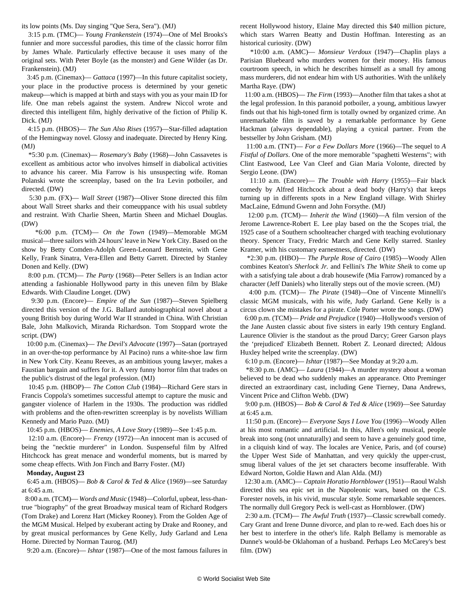its low points (Ms. Day singing "Que Sera, Sera"). (MJ)

 3:15 p.m. (TMC)— *Young Frankenstein* (1974)—One of Mel Brooks's funnier and more successful parodies, this time of the classic horror film by James Whale. Particularly effective because it uses many of the original sets. With Peter Boyle (as the monster) and Gene Wilder (as Dr. Frankenstein). (MJ)

 3:45 p.m. (Cinemax)— *Gattaca* (1997)—In this future capitalist society, your place in the productive process is determined by your genetic makeup—which is mapped at birth and stays with you as your main ID for life. One man rebels against the system. Andrew Niccol wrote and directed this intelligent film, highly derivative of the fiction of Philip K. Dick. (MJ)

 4:15 p.m. (HBOS)— *The Sun Also Rises* (1957)—Star-filled adaptation of the Hemingway novel. Glossy and inadequate. Directed by Henry King. (MJ)

 \*5:30 p.m. (Cinemax)— *Rosemary's Baby* (1968)—John Cassavetes is excellent as ambitious actor who involves himself in diabolical activities to advance his career. Mia Farrow is his unsuspecting wife. Roman Polanski wrote the screenplay, based on the Ira Levin potboiler, and directed. (DW)

 5:30 p.m. (FX)— *Wall Street* (1987)—Oliver Stone directed this film about Wall Street sharks and their comeuppance with his usual subtlety and restraint. With Charlie Sheen, Martin Sheen and Michael Douglas. (DW)

 \*6:00 p.m. (TCM)— *On the Town* (1949)—Memorable MGM musical—three sailors with 24 hours' leave in New York City. Based on the show by Betty Comden-Adolph Green-Leonard Bernstein, with Gene Kelly, Frank Sinatra, Vera-Ellen and Betty Garrett. Directed by Stanley Donen and Kelly. (DW)

 8:00 p.m. (TCM)— *The Party* (1968)—Peter Sellers is an Indian actor attending a fashionable Hollywood party in this uneven film by Blake Edwards. With Claudine Longet. (DW)

 9:30 p.m. (Encore)— *Empire of the Sun* (1987)—Steven Spielberg directed this version of the J.G. Ballard autobiographical novel about a young British boy during World War II stranded in China. With Christian Bale, John Malkovich, Miranda Richardson. Tom Stoppard wrote the script. (DW)

 10:00 p.m. (Cinemax)— *The Devil's Advocate* (1997)—Satan (portrayed in an over-the-top performance by Al Pacino) runs a white-shoe law firm in New York City. Keanu Reeves, as an ambitious young lawyer, makes a Faustian bargain and suffers for it. A very funny horror film that trades on the public's distrust of the legal profession. (MJ)

 10:45 p.m. (HBOP)— *The Cotton Club* (1984)—Richard Gere stars in Francis Coppola's sometimes successful attempt to capture the music and gangster violence of Harlem in the 1930s. The production was riddled with problems and the often-rewritten screenplay is by novelists William Kennedy and Mario Puzo. (MJ)

10:45 p.m. (HBOS)— *Enemies, A Love Story* (1989)—See 1:45 p.m.

 12:10 a.m. (Encore)— *Frenzy* (1972)—An innocent man is accused of being the "necktie murderer" in London. Suspenseful film by Alfred Hitchcock has great menace and wonderful moments, but is marred by some cheap effects. With Jon Finch and Barry Foster. (MJ)

#### **Monday, August 23**

 6:45 a.m. (HBOS)— *Bob & Carol & Ted & Alice* (1969)—see Saturday at 6:45 a.m.

 8:00 a.m. (TCM)— *Words and Music* (1948)—Colorful, upbeat, less-thantrue "biography" of the great Broadway musical team of Richard Rodgers (Tom Drake) and Lorenz Hart (Mickey Rooney). From the Golden Age of the MGM Musical. Helped by exuberant acting by Drake and Rooney, and by great musical performances by Gene Kelly, Judy Garland and Lena Horne. Directed by Norman Taurog. (MJ)

9:20 a.m. (Encore)— *Ishtar* (1987)—One of the most famous failures in

recent Hollywood history, Elaine May directed this \$40 million picture, which stars Warren Beatty and Dustin Hoffman. Interesting as an historical curiosity. (DW)

 \*10:00 a.m. (AMC)— *Monsieur Verdoux* (1947)—Chaplin plays a Parisian Bluebeard who murders women for their money. His famous courtroom speech, in which he describes himself as a small fry among mass murderers, did not endear him with US authorities. With the unlikely Martha Raye. (DW)

 11:00 a.m. (HBOS)— *The Firm* (1993)—Another film that takes a shot at the legal profession. In this paranoid potboiler, a young, ambitious lawyer finds out that his high-toned firm is totally owned by organized crime. An unremarkable film is saved by a remarkable performance by Gene Hackman (always dependable), playing a cynical partner. From the bestseller by John Grisham. (MJ)

 11:00 a.m. (TNT)— *For a Few Dollars More* (1966)—The sequel to *A Fistful of Dollars*. One of the more memorable "spaghetti Westerns"; with Clint Eastwood, Lee Van Cleef and Gian Maria Volonte, directed by Sergio Leone. (DW)

 11:10 a.m. (Encore)— *The Trouble with Harry* (1955)—Fair black comedy by Alfred Hitchcock about a dead body (Harry's) that keeps turning up in differents spots in a New England village. With Shirley MacLaine, Edmund Gwenn and John Forsythe. (MJ)

 12:00 p.m. (TCM)— *Inherit the Wind* (1960)—A film version of the Jerome Lawrence-Robert E. Lee play based on the the Scopes trial, the 1925 case of a Southern schoolteacher charged with teaching evolutionary theory. Spencer Tracy, Fredric March and Gene Kelly starred. Stanley Kramer, with his customary earnestness, directed. (DW)

 \*2:30 p.m. (HBO)— *The Purple Rose of Cairo* (1985)—Woody Allen combines Keaton's *Sherlock Jr.* and Fellini's *The White Sheik* to come up with a satisfying tale about a drab housewife (Mia Farrow) romanced by a character (Jeff Daniels) who literally steps out of the movie screen. (MJ)

 4:00 p.m. (TCM)— *The Pirate* (1948)—One of Vincente Minnelli's classic MGM musicals, with his wife, Judy Garland. Gene Kelly is a circus clown she mistakes for a pirate. Cole Porter wrote the songs. (DW)

 6:00 p.m. (TCM)— *Pride and Prejudice* (1940)—Hollywood's version of the Jane Austen classic about five sisters in early 19th century England. Laurence Olivier is the standout as the proud Darcy; Greer Garson plays the 'prejudiced' Elizabeth Bennett. Robert Z. Leonard directed; Aldous Huxley helped write the screenplay. (DW)

6:10 p.m. (Encore)— *Ishtar* (1987)—See Monday at 9:20 a.m.

 \*8:30 p.m. (AMC)— *Laura* (1944)—A murder mystery about a woman believed to be dead who suddenly makes an appearance. Otto Preminger directed an extraordinary cast, including Gene Tierney, Dana Andrews, Vincent Price and Clifton Webb. (DW)

 9:00 p.m. (HBOS)— *Bob & Carol & Ted & Alice* (1969)—See Saturday at 6:45 a.m.

 11:50 p.m. (Encore)— *Everyone Says I Love You* (1996)—Woody Allen at his most romantic and artificial. In this, Allen's only musical, people break into song (not unnaturally) and seem to have a genuinely good time, in a cliquish kind of way. The locales are Venice, Paris, and (of course) the Upper West Side of Manhattan, and very quickly the upper-crust, smug liberal values of the jet set characters become insufferable. With Edward Norton, Goldie Hawn and Alan Alda. (MJ)

 12:30 a.m. (AMC)— *Captain Horatio Hornblower* (1951)—Raoul Walsh directed this sea epic set in the Napoleonic wars, based on the C.S. Forester novels, in his vivid, muscular style. Some remarkable sequences. The normally dull Gregory Peck is well-cast as Hornblower. (DW)

 2:30 a.m. (TCM)— *The Awful Truth* (1937)—Classic screwball comedy. Cary Grant and Irene Dunne divorce, and plan to re-wed. Each does his or her best to interfere in the other's life. Ralph Bellamy is memorable as Dunne's would-be Oklahoman of a husband. Perhaps Leo McCarey's best film. (DW)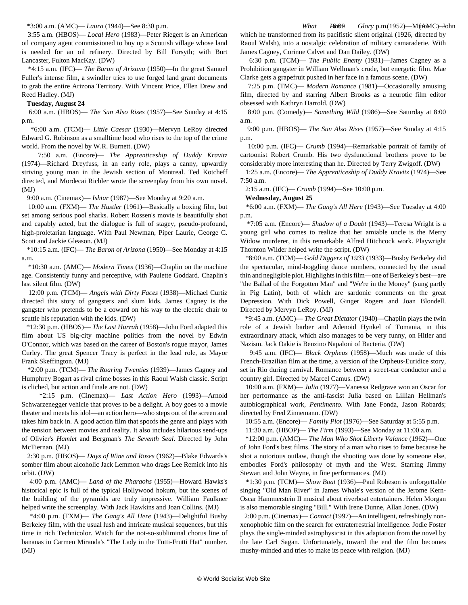\*3:00 a.m. (AMC)— *Laura* (1944)—See 8:30 p.m.

 3:55 a.m. (HBOS)— *Local Hero* (1983)—Peter Riegert is an American oil company agent commissioned to buy up a Scottish village whose land is needed for an oil refinery. Directed by Bill Forsyth; with Burt Lancaster, Fulton MacKay. (DW)

 \*4:15 a.m. (IFC)— *The Baron of Arizona* (1950)—In the great Samuel Fuller's intense film, a swindler tries to use forged land grant documents to grab the entire Arizona Territory. With Vincent Price, Ellen Drew and Reed Hadley. (MJ)

#### **Tuesday, August 24**

 6:00 a.m. (HBOS)— *The Sun Also Rises* (1957)—See Sunday at 4:15 p.m.

 \*6:00 a.m. (TCM)— *Little Caesar* (1930)—Mervyn LeRoy directed Edward G. Robinson as a smalltime hood who rises to the top of the crime world. From the novel by W.R. Burnett. (DW)

 7:50 a.m. (Encore)— *The Apprenticeship of Duddy Kravitz* (1974)—Richard Dreyfuss, in an early role, plays a canny, upwardly striving young man in the Jewish section of Montreal. Ted Kotcheff directed, and Mordecai Richler wrote the screenplay from his own novel. (MJ)

9:00 a.m. (Cinemax)— *Ishtar* (1987)—See Monday at 9:20 a.m.

 10:00 a.m. (FXM)— *The Hustler* (1961)—Basically a boxing film, but set among serious pool sharks. Robert Rossen's movie is beautifully shot and capably acted, but the dialogue is full of stagey, pseudo-profound, high-proletarian language. With Paul Newman, Piper Laurie, George C. Scott and Jackie Gleason. (MJ)

 \*10:15 a.m. (IFC)— *The Baron of Arizona* (1950)—See Monday at 4:15 a.m.

 \*10:30 a.m. (AMC)— *Modern Times* (1936)—Chaplin on the machine age. Consistently funny and perceptive, with Paulette Goddard. Chaplin's last silent film. (DW)

 12:00 p.m. (TCM)— *Angels with Dirty Faces* (1938)—Michael Curtiz directed this story of gangsters and slum kids. James Cagney is the gangster who pretends to be a coward on his way to the electric chair to scuttle his reputation with the kids. (DW)

 \*12:30 p.m. (HBOS)— *The Last Hurrah* (1958)—John Ford adapted this film about US big-city machine politics from the novel by Edwin O'Connor, which was based on the career of Boston's rogue mayor, James Curley. The great Spencer Tracy is perfect in the lead role, as Mayor Frank Skeffington. (MJ)

 \*2:00 p.m. (TCM)— *The Roaring Twenties* (1939)—James Cagney and Humphrey Bogart as rival crime bosses in this Raoul Walsh classic. Script is cliched, but action and finale are not. (DW)

 \*2:15 p.m. (Cinemax)— *Last Action Hero* (1993)—Arnold Schwarzenegger vehicle that proves to be a delight. A boy goes to a movie theater and meets his idol—an action hero—who steps out of the screen and takes him back in. A good action film that spoofs the genre and plays with the tension between movies and reality. It also includes hilarious send-ups of Olivier's *Hamlet* and Bergman's *The Seventh Seal*. Directed by John McTiernan. (MJ)

 2:30 p.m. (HBOS)— *Days of Wine and Roses* (1962)—Blake Edwards's somber film about alcoholic Jack Lemmon who drags Lee Remick into his orbit. (DW)

 4:00 p.m. (AMC)— *Land of the Pharaohs* (1955)—Howard Hawks's historical epic is full of the typical Hollywood hokum, but the scenes of the building of the pyramids are truly impressive. William Faulkner helped write the screenplay. With Jack Hawkins and Joan Collins. (MJ)

 \*4:00 p.m. (FXM)— *The Gang's All Here* (1943)—Delightful Busby Berkeley film, with the usual lush and intricate musical sequences, but this time in rich Technicolor. Watch for the not-so-subliminal chorus line of bananas in Carmen Miranda's "The Lady in the Tutti-Frutti Hat" number. (MJ)

What P6700 Glory p.m. (1952)—Minor Colon which he transformed from its pacifistic silent original (1926, directed by Raoul Walsh), into a nostalgic celebration of military camaraderie. With James Cagney, Corinne Calvet and Dan Dailey. (DW)

 6:30 p.m. (TCM)— *The Public Enemy* (1931)—James Cagney as a Prohibition gangster in William Wellman's crude, but energetic film. Mae Clarke gets a grapefruit pushed in her face in a famous scene. (DW)

 7:25 p.m. (TMC)— *Modern Romance* (1981)—Occasionally amusing film, directed by and starring Albert Brooks as a neurotic film editor obsessed with Kathryn Harrold. (DW)

 8:00 p.m. (Comedy)— *Something Wild* (1986)—See Saturday at 8:00 a.m.

 9:00 p.m. (HBOS)— *The Sun Also Rises* (1957)—See Sunday at 4:15 p.m.

 10:00 p.m. (IFC)— *Crumb* (1994)—Remarkable portrait of family of cartoonist Robert Crumb. His two dysfunctional brothers prove to be considerably more interesting than he. Directed by Terry Zwigoff. (DW)

 1:25 a.m. (Encore)— *The Apprenticeship of Duddy Kravitz* (1974)—See 7:50 a.m.

2:15 a.m. (IFC)— *Crumb* (1994)—See 10:00 p.m.

**Wednesday, August 25**

 \*6:00 a.m. (FXM)— *The Gang's All Here* (1943)—See Tuesday at 4:00 p.m.

 \*7:05 a.m. (Encore)— *Shadow of a Doubt* (1943)—Teresa Wright is a young girl who comes to realize that her amiable uncle is the Merry Widow murderer, in this remarkable Alfred Hitchcock work. Playwright Thornton Wilder helped write the script. (DW)

 \*8:00 a.m. (TCM)— *Gold Diggers of 1933* (1933)—Busby Berkeley did the spectacular, mind-boggling dance numbers, connected by the usual thin and negligible plot. Highlights in this film—one of Berkeley's best—are "the Ballad of the Forgotten Man" and "We're in the Money" (sung partly in Pig Latin), both of which are sardonic comments on the great Depression. With Dick Powell, Ginger Rogers and Joan Blondell. Directed by Mervyn LeRoy. (MJ)

 \*9:45 a.m. (AMC)— *The Great Dictator* (1940)—Chaplin plays the twin role of a Jewish barber and Adenoid Hynkel of Tomania, in this extraordinary attack, which also manages to be very funny, on Hitler and Nazism. Jack Oakie is Benzino Napaloni of Bacteria. (DW)

 9:45 a.m. (IFC)— *Black Orpheus* (1958)—Much was made of this French-Brazilian film at the time, a version of the Orpheus-Euridice story, set in Rio during carnival. Romance between a street-car conductor and a country girl. Directed by Marcel Camus. (DW)

 10:00 a.m. (FXM)— *Julia* (1977)—Vanessa Redgrave won an Oscar for her performance as the anti-fascist Julia based on Lillian Hellman's autobiographical work, *Pentimento*. With Jane Fonda, Jason Robards; directed by Fred Zinnemann. (DW)

10:55 a.m. (Encore)— *Family Plot* (1976)—See Saturday at 5:55 p.m.

11:30 a.m. (HBOP)— *The Firm* (1993)—See Monday at 11:00 a.m.

 \*12:00 p.m. (AMC)— *The Man Who Shot Liberty Valance* (1962)—One of John Ford's best films. The story of a man who rises to fame because he shot a notorious outlaw, though the shooting was done by someone else, embodies Ford's philosophy of myth and the West. Starring Jimmy Stewart and John Wayne, in fine performances. (MJ)

 \*1:30 p.m. (TCM)— *Show Boat* (1936)—Paul Robeson is unforgettable singing "Old Man River" in James Whale's version of the Jerome Kern-Oscar Hammerstein II musical about riverboat entertainers. Helen Morgan is also memorable singing "Bill." With Irene Dunne, Allan Jones. (DW)

 2:00 p.m. (Cinemax)— *Contact* (1997)—An intelligent, refreshingly nonxenophobic film on the search for extraterrestrial intelligence. Jodie Foster plays the single-minded astrophysicist in this adaptation from the novel by the late Carl Sagan. Unfortunately, toward the end the film becomes mushy-minded and tries to make its peace with religion. (MJ)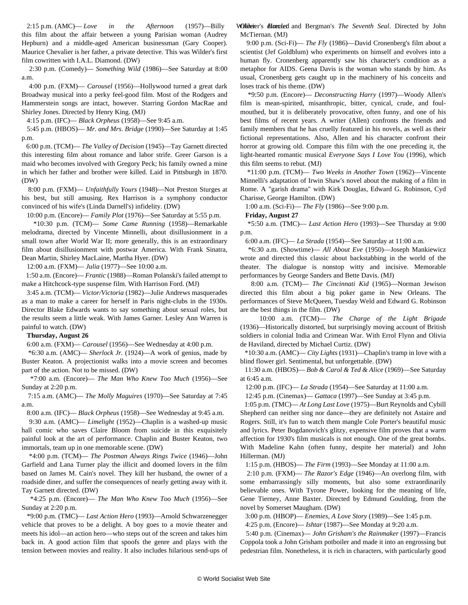$2:15$  p.m. (AMC)— *Love* in the Afternoon (1957)—Billy this film about the affair between a young Parisian woman (Audrey Hepburn) and a middle-aged American businessman (Gary Cooper). Maurice Chevalier is her father, a private detective. This was Wilder's first film cowritten with I.A.L. Diamond. (DW)

 2:30 p.m. (Comedy)— *Something Wild* (1986)—See Saturday at 8:00 a.m.

 4:00 p.m. (FXM)— *Carousel* (1956)—Hollywood turned a great dark Broadway musical into a perky feel-good film. Most of the Rodgers and Hammerstein songs are intact, however. Starring Gordon MacRae and Shirley Jones. Directed by Henry King. (MJ)

4:15 p.m. (IFC)— *Black Orpheus* (1958)—See 9:45 a.m.

 5:45 p.m. (HBOS)— *Mr. and Mrs. Bridge* (1990)—See Saturday at 1:45 p.m.

 6:00 p.m. (TCM)— *The Valley of Decision* (1945)—Tay Garnett directed this interesting film about romance and labor strife. Greer Garson is a maid who becomes involved with Gregory Peck; his family owned a mine in which her father and brother were killed. Laid in Pittsburgh in 1870. (DW)

 8:00 p.m. (FXM)— *Unfaithfully Yours* (1948)—Not Preston Sturges at his best, but still amusing. Rex Harrison is a symphony conductor convinced of his wife's (Linda Darnell's) infidelity. (DW)

10:00 p.m. (Encore)— *Family Plot* (1976)—See Saturday at 5:55 p.m.

 \*10:30 p.m. (TCM)— *Some Came Running* (1958)—Remarkable melodrama, directed by Vincente Minnelli, about disillusionment in a small town after World War II; more generally, this is an extraordinary film about disillusionment with postwar America. With Frank Sinatra, Dean Martin, Shirley MacLaine, Martha Hyer. (DW)

12:00 a.m. (FXM)— *Julia* (1977)—See 10:00 a.m.

 1:50 a.m. (Encore)— *Frantic* (1988)—Roman Polanski's failed attempt to make a Hitchcock-type suspense film. With Harrison Ford. (MJ)

 3:45 a.m. (TCM)— *Victor/Victoria* (1982)—Julie Andrews masquerades as a man to make a career for herself in Paris night-clubs in the 1930s. Director Blake Edwards wants to say something about sexual roles, but the results seem a little weak. With James Garner. Lesley Ann Warren is painful to watch. (DW)

#### **Thursday, August 26**

6:00 a.m. (FXM)— *Carousel* (1956)—See Wednesday at 4:00 p.m.

 \*6:30 a.m. (AMC)— *Sherlock Jr.* (1924)—A work of genius, made by Buster Keaton. A projectionist walks into a movie screen and becomes part of the action. Not to be missed. (DW)

 \*7:00 a.m. (Encore)— *The Man Who Knew Too Much* (1956)—See Sunday at 2:20 p.m.

 7:15 a.m. (AMC)— *The Molly Maguires* (1970)—See Saturday at 7:45 a.m.

8:00 a.m. (IFC)— *Black Orpheus* (1958)—See Wednesday at 9:45 a.m.

 9:30 a.m. (AMC)— *Limelight* (1952)—Chaplin is a washed-up music hall comic who saves Claire Bloom from suicide in this exquisitely painful look at the art of performance. Chaplin and Buster Keaton, two immortals, team up in one memorable scene. (DW)

 \*4:00 p.m. (TCM)— *The Postman Always Rings Twice* (1946)—John Garfield and Lana Turner play the illicit and doomed lovers in the film based on James M. Cain's novel. They kill her husband, the owner of a roadside diner, and suffer the consequences of nearly getting away with it. Tay Garnett directed. (DW)

 \*4:25 p.m. (Encore)— *The Man Who Knew Too Much* (1956)—See Sunday at 2:20 p.m.

 \*9:00 p.m. (TMC)— *Last Action Hero* (1993)—Arnold Schwarzenegger vehicle that proves to be a delight. A boy goes to a movie theater and meets his idol—an action hero—who steps out of the screen and takes him back in. A good action film that spoofs the genre and plays with the tension between movies and reality. It also includes hilarious send-ups of Olivier's *Hamlet* and Bergman's *The Seventh Seal*. Directed by John McTiernan. (MJ)

 9:00 p.m. (Sci-Fi)— *The Fly* (1986)—David Cronenberg's film about a scientist (Jef Goldblum) who experiments on himself and evolves into a human fly. Cronenberg apparently saw his character's condition as a metaphor for AIDS. Geena Davis is the woman who stands by him. As usual, Cronenberg gets caught up in the machinery of his conceits and loses track of his theme. (DW)

 \*9:50 p.m. (Encore)— *Deconstructing Harry* (1997)—Woody Allen's film is mean-spirited, misanthropic, bitter, cynical, crude, and foulmouthed, but it is deliberately provocative, often funny, and one of his best films of recent years. A writer (Allen) confronts the friends and family members that he has cruelly featured in his novels, as well as their fictional representations. Also, Allen and his character confront their horror at growing old. Compare this film with the one preceding it, the light-hearted romantic musical *Everyone Says I Love You* (1996), which this film seems to rebut. (MJ)

 \*11:00 p.m. (TCM)— *Two Weeks in Another Town* (1962)—Vincente Minnelli's adaptation of Irwin Shaw's novel about the making of a film in Rome. A "garish drama" with Kirk Douglas, Edward G. Robinson, Cyd Charisse, George Hamilton. (DW)

1:00 a.m. (Sci-Fi)— *The Fly* (1986)—See 9:00 p.m.

**Friday, August 27**

 \*5:50 a.m. (TMC)— *Last Action Hero* (1993)—See Thursday at 9:00 p.m.

6:00 a.m. (IFC)— *La Strada* (1954)—See Saturday at 11:00 a.m.

 \*6:30 a.m. (Showtime)— *All About Eve* (1950)—Joseph Mankiewicz wrote and directed this classic about backstabbing in the world of the theater. The dialogue is nonstop witty and incisive. Memorable performances by George Sanders and Bette Davis. (MJ)

 8:00 a.m. (TCM)— *The Cincinnati Kid* (1965)—Norman Jewison directed this film about a big poker game in New Orleans. The performances of Steve McQueen, Tuesday Weld and Edward G. Robinson are the best things in the film. (DW)

 10:00 a.m. (TCM)— *The Charge of the Light Brigade* (1936)—Historically distorted, but surprisingly moving account of British soldiers in colonial India and Crimean War. With Errol Flynn and Olivia de Haviland, directed by Michael Curtiz. (DW)

 \*10:30 a.m. (AMC)— *City Lights* (1931)—Chaplin's tramp in love with a blind flower girl. Sentimental, but unforgettable. (DW)

 11:30 a.m. (HBOS)— *Bob & Carol & Ted & Alice* (1969)—See Saturday at 6:45 a.m.

12:00 p.m. (IFC)— *La Strada* (1954)—See Saturday at 11:00 a.m.

12:45 p.m. (Cinemax)— *Gattaca* (1997)—See Sunday at 3:45 p.m.

 1:05 p.m. (TMC)— *At Long Last Love* (1975)—Burt Reynolds and Cybill Shepherd can neither sing nor dance—they are definitely not Astaire and Rogers. Still, it's fun to watch them mangle Cole Porter's beautiful music and lyrics. Peter Bogdanovich's glitzy, expensive film proves that a warm affection for 1930's film musicals is not enough. One of the great bombs. With Madeline Kahn (often funny, despite her material) and John Hillerman. (MJ)

1:15 p.m. (HBOS)— *The Firm* (1993)—See Monday at 11:00 a.m.

 2:10 p.m. (FXM)— *The Razor's Edge* (1946)—An overlong film, with some embarrassingly silly moments, but also some extraordinarily believable ones. With Tyrone Power, looking for the meaning of life, Gene Tierney, Anne Baxter. Directed by Edmund Goulding, from the novel by Somerset Maugham. (DW)

3:00 p.m. (HBOP)— *Enemies, A Love Story* (1989)—See 1:45 p.m.

4:25 p.m. (Encore)— *Ishtar* (1987)—See Monday at 9:20 a.m.

 5:40 p.m. (Cinemax)— *John Grisham's the Rainmaker* (1997)—Francis Coppola took a John Grisham potboiler and made it into an engrossing but pedestrian film. Nonetheless, it is rich in characters, with particularly good